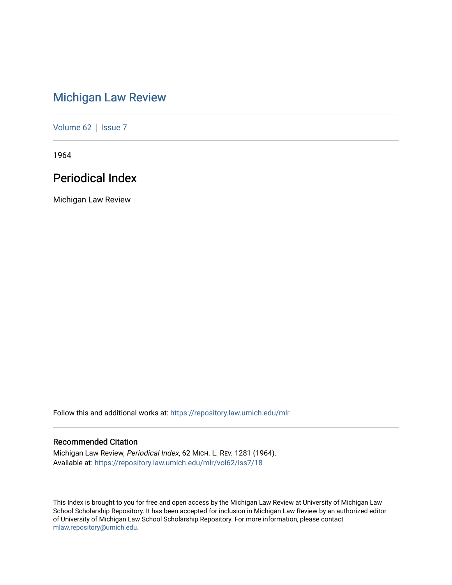# [Michigan Law Review](https://repository.law.umich.edu/mlr)

[Volume 62](https://repository.law.umich.edu/mlr/vol62) | [Issue 7](https://repository.law.umich.edu/mlr/vol62/iss7)

1964

# Periodical Index

Michigan Law Review

Follow this and additional works at: [https://repository.law.umich.edu/mlr](https://repository.law.umich.edu/mlr?utm_source=repository.law.umich.edu%2Fmlr%2Fvol62%2Fiss7%2F18&utm_medium=PDF&utm_campaign=PDFCoverPages) 

# Recommended Citation

Michigan Law Review, Periodical Index, 62 MICH. L. REV. 1281 (1964). Available at: [https://repository.law.umich.edu/mlr/vol62/iss7/18](https://repository.law.umich.edu/mlr/vol62/iss7/18?utm_source=repository.law.umich.edu%2Fmlr%2Fvol62%2Fiss7%2F18&utm_medium=PDF&utm_campaign=PDFCoverPages) 

This Index is brought to you for free and open access by the Michigan Law Review at University of Michigan Law School Scholarship Repository. It has been accepted for inclusion in Michigan Law Review by an authorized editor of University of Michigan Law School Scholarship Repository. For more information, please contact [mlaw.repository@umich.edu.](mailto:mlaw.repository@umich.edu)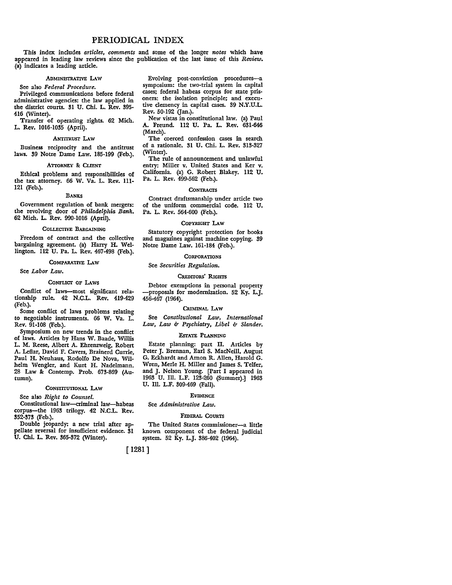# PERIODICAL INDEX

This index includes *articles, comments* and some of the longer *notes* which have appeared in leading law reviews since the publication of the last issue of this *Review.*  (a) indicates a leading article.

# ADMINISTRATIVE LAW

See also *Federal Procedure.* 

Privileged communications before federal administrative agencies: the law applied in the district courts. 31 U. Chi. L. Rev. 395- 416 (Winter).

Transfer of operating rights. 62 Mich. L. Rev. 1016-1035 (April).

#### ANTITRUST LAW

Business reciprocity and the antitrust laws. 39 Notre Dame Law. 185-199 (Feb.).

#### ATTORNEY & CLIENT

Ethical problems and responsibilities of the tax attorney. 66 W. Va. L. Rev. 111- 121 (Feb.).

#### BANKS

Government regulation of bank mergers: the revolving door of *Philadelphia Bank.*  62 Mich. L. Rev. 990-1016 (April).

# COLLECTIVE BARGAINING

Freedom of contract and the collective bargaining agreement. (a) Harry H. Wellington. 112 U. Pa. L. Rev. 467-498 (Feb.).

#### COMPARATIVE LAW

See *Labor Law.* 

#### CONFLICT OF LAWS

Conflict of laws-most significant relationship rule. 42 N.C.L. Rev. 419-429 (Feb.).

Some conflict of laws problems relating to negotiable instruments. 66 W. Va. L. Rev. 91-108 (Feb.).

Symposium on new trends in the conflict of laws. Articles by Hans W. Baade, Willis L. M. Reese, Albert A. Ehrenzweig, Robert A. Leflar, David F. Cavers, Brainerd Currie, Paul H. Neuhaus, Rodolfo De Nova, Wilhelm Wengler, and Kurt H. Nadelmann. 28 Law & Contemp. Prob. 673-869 (Autumn).

#### CONSTITUTIONAL LAW

Sec also *Right to Counsel.* 

Constitutional law-criminal law-habeas corpus-the 1963 trilogy. 42 N.C.L. Rev. 352-373 (Feb.).

Double jeopardy: a new trial after appellate reversal for insufficient evidence. 31 U. Chi. L. Rev. 365-372 (Winter).

Evolving post-conviction procedures-a symposium: the two-trial system in capital cases; federal habeas corpus for state prisoners: the isolation principle; and executive clemency in capital cases. 39 N.Y.U.L. Rev. 50-192 (Jan.).

New vistas in constitutional law. (a) Paul A. Freund. 112 U. Pa. L. Rev. 631-646 (March).

The coerced confession cases in search of a rationale. 31 U. Chi. L. Rev. 313-327 (Winter).

The rule of announcement and unlawful entry: Miller v. United States and Ker v. California. (a) G. Robert Blakey. 112 U. Pa. L. Rev. 499-562 (Feb.).

#### **CONTRACTS**

Contract draftsmanship under article two of the uniform commercial code. 112 U. Pa. L. Rev. 564-600 (Feb.).

#### COPYRIGHT LAW

Statutory copyright protection for books and magazines against machine copying. 39 Notre Dame Law. 161-184 (Feb.).

# **CORPORATIONS**

#### See *Securities Regulation.*

# CREDITORS' RIGHTS

Debtor exemptions in personal property -proposals for modernization. 52 Ky. L.J. 456-467 (1964).

#### CRIMINAL LAW

See *Constitutional Law, International Law, Law* b *Psychiatry, Libel* b *Slander.* 

#### ESTATE PLANNING

Estate planning: part II. Articles by Peter J. Brennan, Earl S. MacNeill, August G. Eckhardt and Amon R. Allen, Harold G. Wren, Merle H. Miller and James S. Telfer, and J. Nelson Young. [Part I appeared in 1963 U. Ill. L.F. 123-260 (Summer).] 1963 U. Ill. L.F. 309-469 (Fall).

#### **EVIDENCE**

See *Administrative Law.* 

#### FEDERAL COURTS

The United States commissioner-a little known component of the federal judicial system. 52 Ky. L.J. 386-402 (1964).

[ 1281]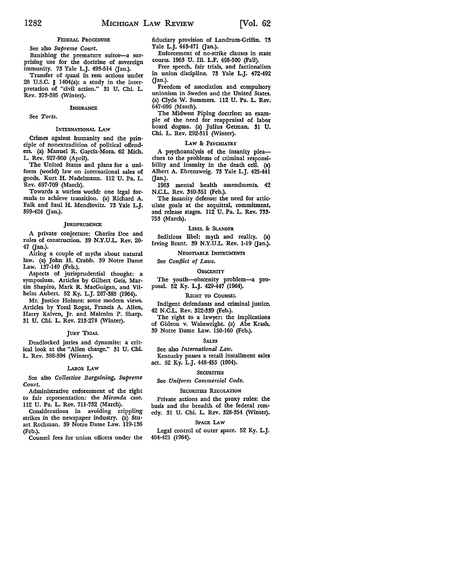# FEDERAL PROCEDURE

# See also *Supreme Court.*

Banishing the premature suitor-a surprising use for the doctrine of sovereign immunity. 73 Yale L.J. 493-514 (Jan.).

Transfer of quasi in rem actions under 28 U.S.C. § 1404(a): a study in the interpretation of "civil action." 31 U. Chi. L. Rev. 373-385 (Winter).

#### **INSURANCE**

See *Torts.* 

#### INTERNATIONAL LAW

Crimes against humanity and the principle of nonextradition of political offenders. (a) Manuel R. Garcia-Mora. 62 Mich. L. Rev. 927-960 (April).

The United States and plans for a uniform (world) law on international sales of goods. Kurt H. Nadelmann. 112 U. Pa. L. Rev. 697-709 (March).

Towards a warless world: one legal formula to achieve transition. (a) Richard A. Falk and Saul H. Mendlovitz. 73 Yale L.J. 399-424 (Jan.).

#### **JURISPRUDENCE**

A private conjecture: Charles Doe and rules of construction. 39 N.Y.U.L. Rev. 20- 47 (Jan.).

Airing a couple of myths about natural law. (a) John H. Crabb. 39 Notre Dame Law. 137-149 (Feb.).

Aspects of jurisprudential thought: a symposium. Articles by Gilbert Geis, Martin Shapiro, Mark R. MacGuigan, and Vilhelm Aubert. 52 Ky. L.J. 267-385 (1964).

Mr. Justice Holmes: some modern views. Articles by Yosal Rogat, Francis A. Allen, Harry Kalven, Jr. and Malcolm P. Sharp. 31 U. Chi. L. Rev. 213-278 (Winter).

#### **JURY TRIAL**

Deadlocked juries and dynamite: a critical look at the "Allen charge." 31 U. Chi. L. Rev. 386-394 (Winter).

#### LABoR LAw

See also *Collective Bargaining, Supreme Court.* 

Administrative enforcement of the right to fair representation: the *Miranda* case. 112 U. Pa. L. Rev. 711-732 (March).

Considerations in avoiding crippling strikes in the newspaper industry. (a) Stuart Rothman. 39 Notre Dame Law. 119-136 (Feb.).

Counsel fees for union officers under the

fiduciary provision of Landrum-Griffin. 73 Yale L.j. 443-471 (Jan.).

Enforcement of no-strike clauses in state courts. 1963 U. Ill. L.F. 495-500 (Fall).

Free speech, fair trials, and factionalism in union discipline. 73 Yale L.J. 472-492 (Jan.).

Freedom of association and compulsory unionism in Sweden and the United States. (a) Clyde W. Summers. 112 U. Pa. L. Rev. 647-696 (March).

The Midwest Piping doctrine: an example of the need for reappraisal of labor board dogma. (a) Julius Getman. 31 U. Chi. L. Rev. 292-311 (Winter).

#### LAW & PSYCHIATRY

A psychoanalysis of the insanity pleaclues to the problems of criminal responsibility and insanity in the death cell. (a) Albert A. Ehrenzweig. 73 Yale L.J. 425-441 (Jan.).

1963 mental health amendments. 42 N.C.L. Rev. 340-351 (Feb.).

The insanity defense: the need for articulate goals at the acquittal, commitment, and release stages. ll2 U. Pa. L. Rev. 733- 753 (March).

#### LIBEL & SLANDER

Seditious libel: myth and reality. (a) Irving Brant. 39 N.Y.U.L. Rev. 1-19 (Jan.).

#### NEGOTIABLE INSTRUMENTS

See *Conflict of Laws.* 

#### **OBSCENITY**

The youth-obscenity problem-a proposal. 52 Ky. L.J. 429-447 (1964).

### RIGHT TO COUNSEL

Indigent defendants and criminal justice. 42 N .C.L. Rev. 322-339 (Feb.).

The right to a lawyer: the implications of Gideon v. Wainwright. (a) Abe Krash. 39 Notre Dame Law. 150-160 (Feb.).

#### SALES

# See also *International Law.*

Kentucky passes a retail installment sales act. 52 Ky. L.J. 448-455 (1964).

#### **SECURITIES**

See *Uniform Commercial Code.* 

#### SECURITIES REGULATION

Private actions and the proxy rules: the basis and the breadth of the federal remedy. 31 U. Chi. L. Rev. 328-354 (Winter).

#### SPACE LAW

Legal control of outer space. 52 Ky. L.J. 404-421 (1964).